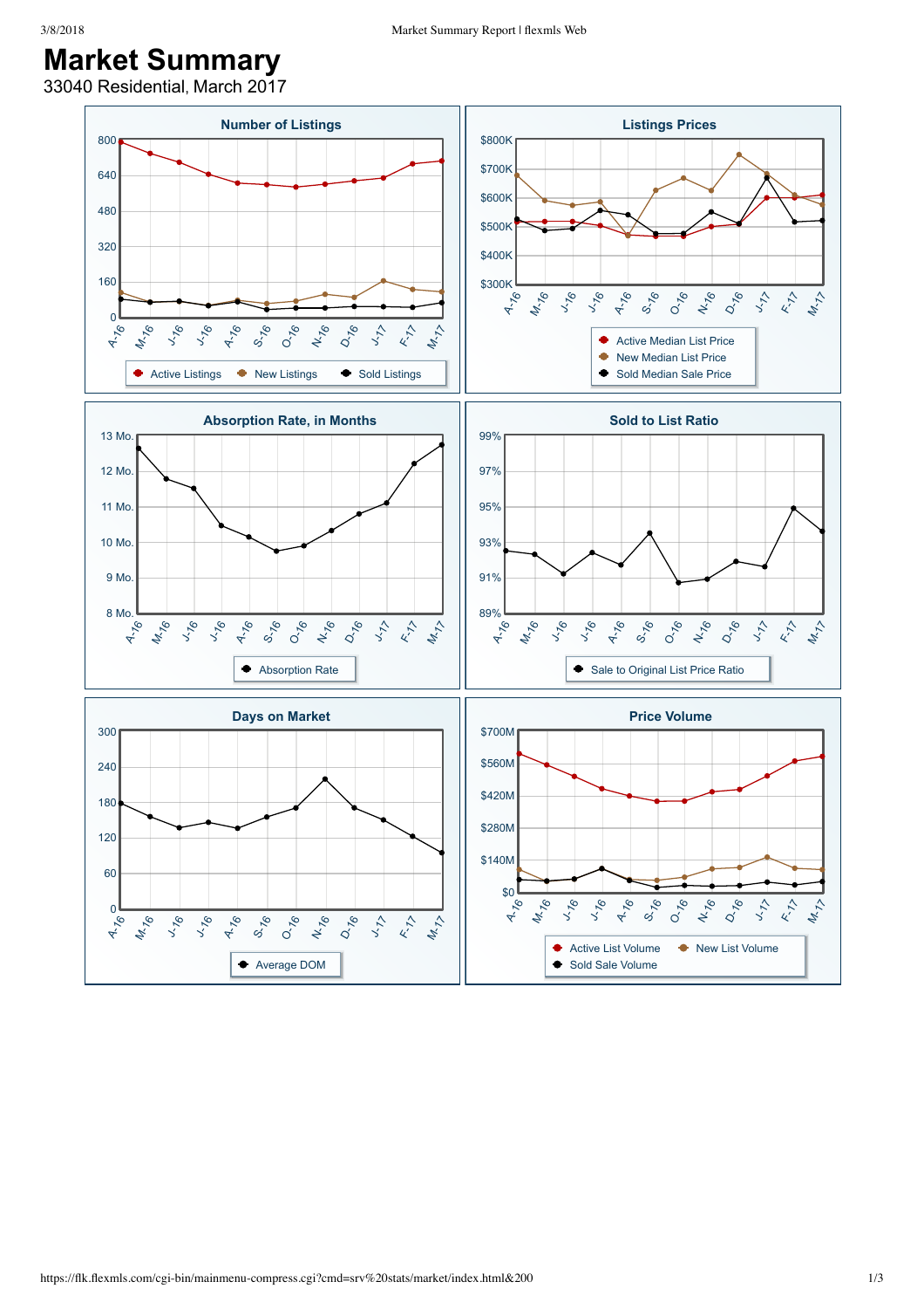## 3/8/2018 Market Summary Report | flexmls Web

## **Market Summary**

33040 Residential, March 2017

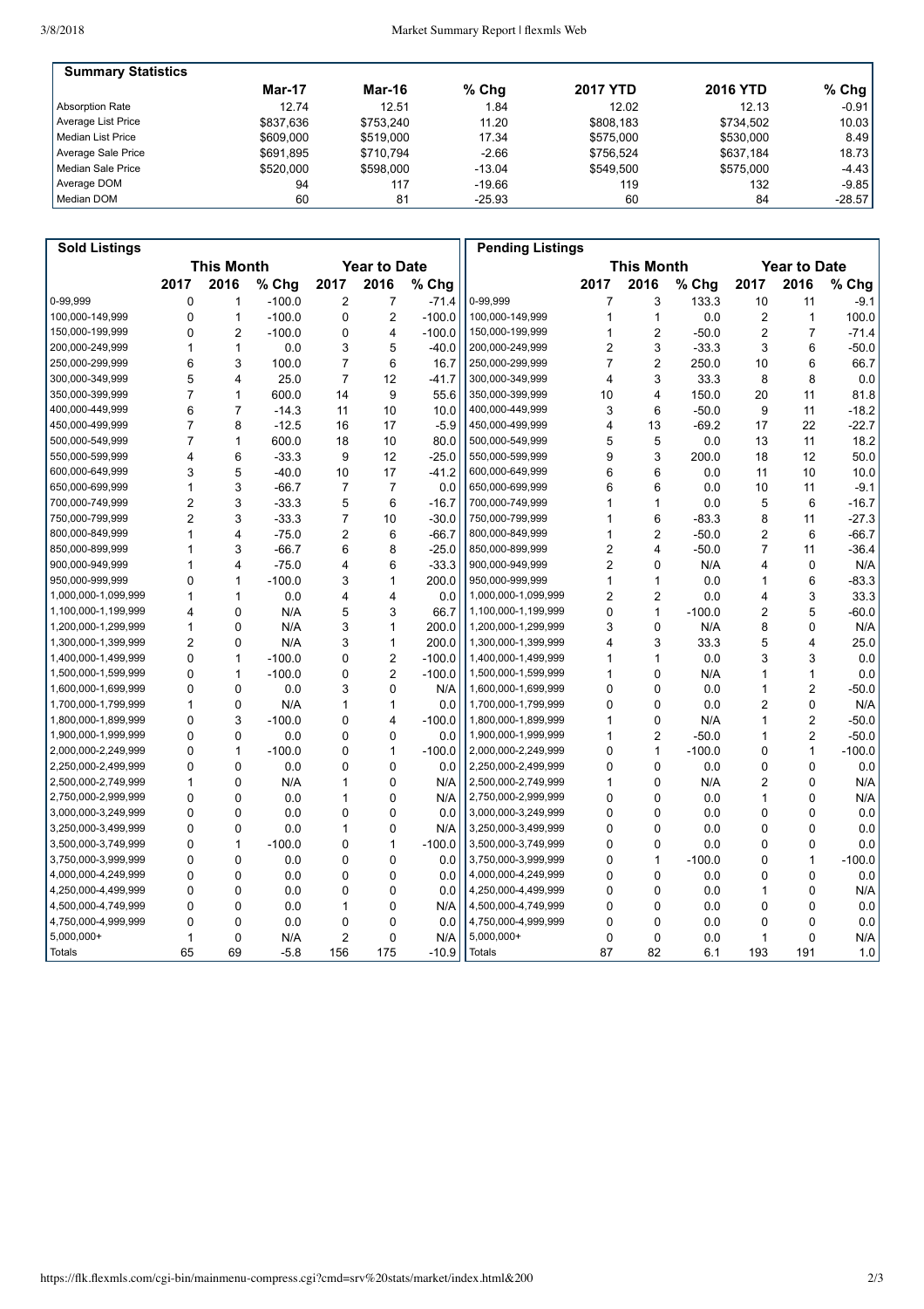| <b>Summary Statistics</b> |               |           |          |                 |                 |          |
|---------------------------|---------------|-----------|----------|-----------------|-----------------|----------|
|                           | <b>Mar-17</b> | Mar-16    | $%$ Chg  | <b>2017 YTD</b> | <b>2016 YTD</b> | $%$ Chg  |
| Absorption Rate           | 12.74         | 12.51     | 1.84     | 12.02           | 12.13           | $-0.91$  |
| Average List Price        | \$837.636     | \$753.240 | 11.20    | \$808.183       | \$734.502       | 10.03    |
| Median List Price         | \$609,000     | \$519,000 | 17.34    | \$575,000       | \$530,000       | 8.49     |
| Average Sale Price        | \$691.895     | \$710.794 | $-2.66$  | \$756.524       | \$637.184       | 18.73    |
| Median Sale Price         | \$520,000     | \$598,000 | $-13.04$ | \$549.500       | \$575,000       | $-4.43$  |
| Average DOM               | 94            | 117       | $-19.66$ | 119             | 132             | $-9.85$  |
| Median DOM                | 60            | 81        | $-25.93$ | 60              | 84              | $-28.57$ |

| <b>Sold Listings</b> |                   |                |          |                     |                |          | <b>Pending Listings</b> |                |                   |          |                |                     |          |
|----------------------|-------------------|----------------|----------|---------------------|----------------|----------|-------------------------|----------------|-------------------|----------|----------------|---------------------|----------|
|                      | <b>This Month</b> |                |          | <b>Year to Date</b> |                |          |                         |                | <b>This Month</b> |          |                | <b>Year to Date</b> |          |
|                      | 2017              | 2016           | % Chg    | 2017                | 2016           | % Chg    |                         | 2017           | 2016              | % Chg    | 2017           | 2016                | % Chg    |
| 0-99.999             | $\mathbf 0$       | 1              | $-100.0$ | 2                   | 7              | $-71.4$  | 0-99.999                | 7              | 3                 | 133.3    | 10             | 11                  | $-9.1$   |
| 100,000-149,999      | $\mathbf 0$       | $\mathbf{1}$   | $-100.0$ | 0                   | $\overline{2}$ | $-100.0$ | 100,000-149,999         | 1              | 1                 | 0.0      | $\overline{2}$ | $\mathbf{1}$        | 100.0    |
| 150,000-199,999      | $\mathbf 0$       | $\overline{2}$ | $-100.0$ | 0                   | 4              | $-100.0$ | 150,000-199,999         | 1              | $\overline{2}$    | $-50.0$  | $\overline{2}$ | $\overline{7}$      | $-71.4$  |
| 200,000-249,999      | $\mathbf{1}$      | 1              | 0.0      | 3                   | 5              | $-40.0$  | 200,000-249,999         | 2              | 3                 | $-33.3$  | 3              | 6                   | $-50.0$  |
| 250,000-299,999      | 6                 | 3              | 100.0    | $\overline{7}$      | 6              | 16.7     | 250,000-299,999         | $\overline{7}$ | $\overline{c}$    | 250.0    | 10             | 6                   | 66.7     |
| 300,000-349,999      | 5                 | 4              | 25.0     | $\overline{7}$      | 12             | $-41.7$  | 300,000-349,999         | 4              | 3                 | 33.3     | 8              | 8                   | 0.0      |
| 350.000-399.999      | $\overline{7}$    | $\mathbf{1}$   | 600.0    | 14                  | 9              | 55.6     | 350,000-399,999         | 10             | 4                 | 150.0    | 20             | 11                  | 81.8     |
| 400,000-449,999      | 6                 | $\overline{7}$ | $-14.3$  | 11                  | 10             | 10.0     | 400,000-449,999         | 3              | 6                 | $-50.0$  | 9              | 11                  | $-18.2$  |
| 450,000-499,999      | $\overline{7}$    | 8              | $-12.5$  | 16                  | 17             | $-5.9$   | 450,000-499,999         | 4              | 13                | $-69.2$  | 17             | 22                  | $-22.7$  |
| 500.000-549.999      | $\overline{7}$    | $\mathbf{1}$   | 600.0    | 18                  | 10             | 80.0     | 500.000-549.999         | 5              | 5                 | 0.0      | 13             | 11                  | 18.2     |
| 550,000-599,999      | $\overline{4}$    | 6              | $-33.3$  | 9                   | 12             | $-25.0$  | 550,000-599,999         | 9              | 3                 | 200.0    | 18             | 12                  | 50.0     |
| 600,000-649,999      | 3                 | 5              | $-40.0$  | 10                  | 17             | $-41.2$  | 600,000-649,999         | 6              | 6                 | 0.0      | 11             | 10                  | 10.0     |
| 650,000-699,999      | 1                 | 3              | $-66.7$  | 7                   | $\overline{7}$ | 0.0      | 650,000-699,999         | 6              | 6                 | 0.0      | 10             | 11                  | $-9.1$   |
| 700,000-749,999      | $\overline{2}$    | 3              | $-33.3$  | 5                   | 6              | $-16.7$  | 700,000-749,999         | 1              | 1                 | 0.0      | 5              | 6                   | $-16.7$  |
| 750,000-799,999      | $\overline{2}$    | 3              | $-33.3$  | $\overline{7}$      | 10             | $-30.0$  | 750,000-799,999         | 1              | 6                 | $-83.3$  | 8              | 11                  | $-27.3$  |
| 800,000-849,999      | $\mathbf{1}$      | $\overline{4}$ | $-75.0$  | $\overline{2}$      | 6              | $-66.7$  | 800,000-849,999         | 1              | $\overline{2}$    | $-50.0$  | 2              | 6                   | $-66.7$  |
| 850,000-899,999      | 1                 | 3              | $-66.7$  | 6                   | 8              | $-25.0$  | 850,000-899,999         | $\overline{c}$ | 4                 | $-50.0$  | $\overline{7}$ | 11                  | $-36.4$  |
| 900,000-949,999      | 1                 | 4              | $-75.0$  | 4                   | 6              | $-33.3$  | 900,000-949,999         | $\overline{c}$ | 0                 | N/A      | 4              | $\mathbf 0$         | N/A      |
| 950,000-999,999      | $\mathbf 0$       | 1              | $-100.0$ | 3                   | $\mathbf{1}$   | 200.0    | 950,000-999,999         | 1              | 1                 | 0.0      | 1              | 6                   | $-83.3$  |
| 1,000,000-1,099,999  | $\mathbf{1}$      | 1              | 0.0      | 4                   | 4              | 0.0      | 1,000,000-1,099,999     | $\overline{c}$ | $\overline{2}$    | 0.0      | 4              | 3                   | 33.3     |
| 1,100,000-1,199,999  | 4                 | $\mathbf 0$    | N/A      | 5                   | 3              | 66.7     | 1,100,000-1,199,999     | 0              | $\mathbf{1}$      | $-100.0$ | $\overline{2}$ | 5                   | $-60.0$  |
| 1,200,000-1,299,999  | $\mathbf{1}$      | $\mathbf 0$    | N/A      | 3                   | $\mathbf{1}$   | 200.0    | 1,200,000-1,299,999     | 3              | $\mathbf 0$       | N/A      | 8              | $\mathbf 0$         | N/A      |
| 1,300,000-1,399,999  | $\overline{2}$    | $\mathbf 0$    | N/A      | 3                   | $\mathbf{1}$   | 200.0    | 1,300,000-1,399,999     | 4              | 3                 | 33.3     | 5              | $\overline{4}$      | 25.0     |
| 1,400,000-1,499,999  | $\Omega$          | $\mathbf{1}$   | $-100.0$ | $\Omega$            | $\overline{2}$ | $-100.0$ | 1,400,000-1,499,999     | 1              | 1                 | 0.0      | 3              | 3                   | 0.0      |
| 1,500,000-1,599,999  | $\Omega$          | 1              | $-100.0$ | 0                   | $\overline{2}$ | $-100.0$ | 1,500,000-1,599,999     | 1              | 0                 | N/A      | 1              | 1                   | 0.0      |
| 1,600,000-1,699,999  | $\mathbf{0}$      | $\mathbf 0$    | 0.0      | 3                   | 0              | N/A      | 1,600,000-1,699,999     | 0              | 0                 | 0.0      | 1              | $\overline{2}$      | $-50.0$  |
| 1,700,000-1,799,999  | $\mathbf 1$       | $\mathbf 0$    | N/A      | 1                   | 1              | 0.0      | 1,700,000-1,799,999     | 0              | 0                 | 0.0      | 2              | $\mathbf 0$         | N/A      |
| 1,800,000-1,899,999  | $\mathbf 0$       | 3              | $-100.0$ | 0                   | 4              | $-100.0$ | 1,800,000-1,899,999     | 1              | 0                 | N/A      | 1              | $\overline{2}$      | $-50.0$  |
| 1,900,000-1,999,999  | $\Omega$          | $\Omega$       | 0.0      | 0                   | $\Omega$       | 0.0      | 1,900,000-1,999,999     | 1              | $\overline{2}$    | $-50.0$  | 1              | $\overline{2}$      | $-50.0$  |
| 2,000,000-2,249,999  | $\Omega$          | $\mathbf{1}$   | $-100.0$ | 0                   | $\mathbf{1}$   | $-100.0$ | 2,000,000-2,249,999     | 0              | 1                 | $-100.0$ | 0              | $\mathbf{1}$        | $-100.0$ |
| 2,250,000-2,499,999  | $\Omega$          | $\mathbf 0$    | 0.0      | 0                   | $\mathbf 0$    | 0.0      | 2,250,000-2,499,999     | 0              | 0                 | 0.0      | 0              | $\mathbf 0$         | 0.0      |
| 2,500,000-2,749,999  | 1                 | $\Omega$       | N/A      | 1                   | $\mathbf{0}$   | N/A      | 2,500,000-2,749,999     | 1              | 0                 | N/A      | $\overline{c}$ | $\Omega$            | N/A      |
| 2,750,000-2,999,999  | $\Omega$          | $\mathbf 0$    | 0.0      | 1                   | $\Omega$       | N/A      | 2,750,000-2,999,999     | 0              | 0                 | 0.0      | 1              | $\mathbf{0}$        | N/A      |
| 3,000,000-3,249,999  | $\mathbf 0$       | $\mathbf 0$    | 0.0      | 0                   | $\mathbf 0$    | 0.0      | 3,000,000-3,249,999     | 0              | 0                 | 0.0      | $\mathbf 0$    | $\mathbf 0$         | 0.0      |
| 3,250,000-3,499,999  | $\mathbf 0$       | $\mathbf 0$    | 0.0      | 1                   | 0              | N/A      | 3,250,000-3,499,999     | 0              | 0                 | 0.0      | $\mathbf 0$    | $\mathbf 0$         | 0.0      |
| 3,500,000-3,749,999  | $\Omega$          | $\mathbf{1}$   | $-100.0$ | $\Omega$            | $\mathbf{1}$   | $-100.0$ | 3,500,000-3,749,999     | 0              | 0                 | 0.0      | 0              | $\Omega$            | 0.0      |
| 3,750,000-3,999,999  | $\Omega$          | $\mathbf 0$    | 0.0      | 0                   | $\mathbf 0$    | 0.0      | 3,750,000-3,999,999     | 0              | 1                 | $-100.0$ | 0              | $\mathbf{1}$        | $-100.0$ |
| 4,000,000-4,249,999  | $\mathbf{0}$      | $\Omega$       | 0.0      | 0                   | $\Omega$       | 0.0      | 4,000,000-4,249,999     | 0              | 0                 | 0.0      | 0              | $\Omega$            | 0.0      |
| 4,250,000-4,499,999  | $\mathbf 0$       | $\mathbf 0$    | 0.0      | 0                   | 0              | 0.0      | 4,250,000-4,499,999     | 0              | 0                 | 0.0      | 1              | $\mathbf 0$         | N/A      |
| 4,500,000-4,749,999  | $\mathbf 0$       | $\mathbf 0$    | 0.0      | 1                   | $\mathbf 0$    | N/A      | 4,500,000-4,749,999     | 0              | 0                 | 0.0      | $\mathbf 0$    | $\mathbf 0$         | 0.0      |
| 4,750,000-4,999,999  | $\mathbf{0}$      | $\Omega$       | 0.0      | 0                   | $\Omega$       | 0.0      | 4,750,000-4,999,999     | 0              | $\mathbf{0}$      | 0.0      | 0              | $\Omega$            | 0.0      |
| 5,000,000+           | $\mathbf{1}$      | 0              | N/A      | 2                   | 0              | N/A      | $5,000,000+$            | 0              | $\mathbf 0$       | 0.0      | 1              | $\mathbf 0$         | N/A      |
| <b>Totals</b>        | 65                | 69             | $-5.8$   | 156                 | 175            | $-10.9$  | <b>Totals</b>           | 87             | 82                | 6.1      | 193            | 191                 | 1.0      |